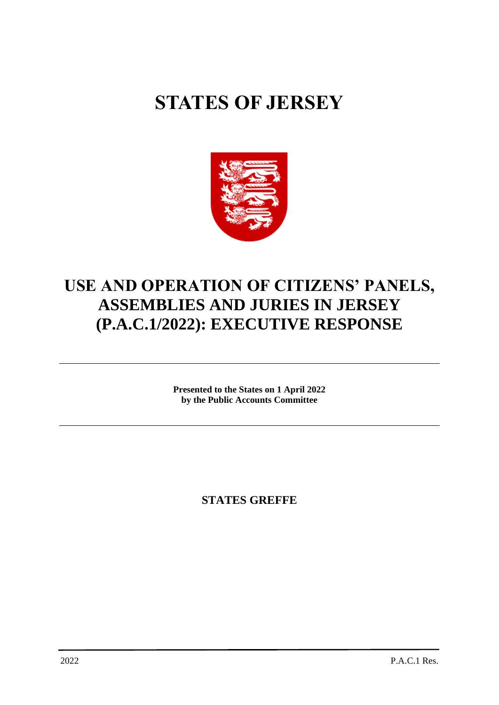# **STATES OF JERSEY**



# **USE AND OPERATION OF CITIZENS' PANELS, ASSEMBLIES AND JURIES IN JERSEY (P.A.C.1/2022): EXECUTIVE RESPONSE**

**Presented to the States on 1 April 2022 by the Public Accounts Committee**

**STATES GREFFE**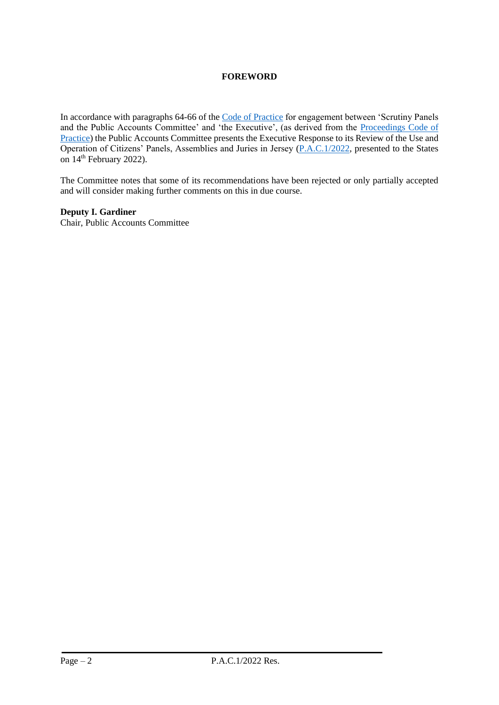## **FOREWORD**

In accordance with paragraphs 64-66 of the [Code of Practice](https://statesassembly.gov.je/sitecollectiondocuments/pacengagementcode.pdf) for engagement between 'Scrutiny Panels and the Public Accounts Committee' and 'the Executive', (as derived from the [Proceedings Code of](https://statesassembly.gov.je/committees/publishingimages/pages/scrutinypanelscommittees/scrutiny%20-pac%20proceedings%20code%20of%20practice%20final.pdf)  [Practice\)](https://statesassembly.gov.je/committees/publishingimages/pages/scrutinypanelscommittees/scrutiny%20-pac%20proceedings%20code%20of%20practice%20final.pdf) the Public Accounts Committee presents the Executive Response to its Review of the Use and Operation of Citizens' Panels, Assemblies and Juries in Jersey [\(P.A.C.1/2022,](https://statesassembly.gov.je/scrutinyreports/2022/p.a.c.1%202022%20-%20use%20and%20operation%20of%20citizens) presented to the States on  $14<sup>th</sup>$  February 2022).

The Committee notes that some of its recommendations have been rejected or only partially accepted and will consider making further comments on this in due course.

**Deputy I. Gardiner**

Chair, Public Accounts Committee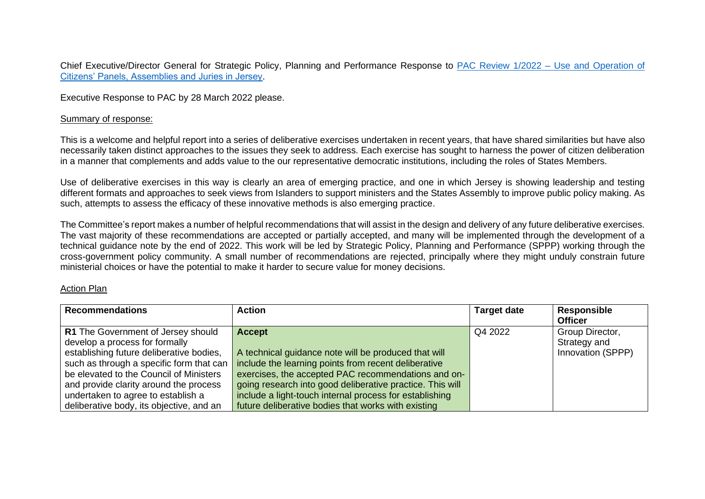Chief Executive/Director General for Strategic Policy, Planning and Performance Response to [PAC](https://statesassembly.gov.je/ScrutinyReports/2021/Report%20-%20(Follow%20Up)%20Review%20of%20Estate%20Management%202021%20-%2015%20October%202021.pdf) Review 1/2022 – Use and Operation of Citizens' Panels, Assemblies and Juries in Jersey.

Executive Response to PAC by 28 March 2022 please.

#### Summary of response:

This is a welcome and helpful report into a series of deliberative exercises undertaken in recent years, that have shared similarities but have also necessarily taken distinct approaches to the issues they seek to address. Each exercise has sought to harness the power of citizen deliberation in a manner that complements and adds value to the our representative democratic institutions, including the roles of States Members.

Use of deliberative exercises in this way is clearly an area of emerging practice, and one in which Jersey is showing leadership and testing different formats and approaches to seek views from Islanders to support ministers and the States Assembly to improve public policy making. As such, attempts to assess the efficacy of these innovative methods is also emerging practice.

The Committee's report makes a number of helpful recommendations that will assist in the design and delivery of any future deliberative exercises. The vast majority of these recommendations are accepted or partially accepted, and many will be implemented through the development of a technical guidance note by the end of 2022. This work will be led by Strategic Policy, Planning and Performance (SPPP) working through the cross-government policy community. A small number of recommendations are rejected, principally where they might unduly constrain future ministerial choices or have the potential to make it harder to secure value for money decisions.

### Action Plan

| <b>Recommendations</b>                   | <b>Action</b>                                             | <b>Target date</b> | Responsible       |
|------------------------------------------|-----------------------------------------------------------|--------------------|-------------------|
|                                          |                                                           |                    | <b>Officer</b>    |
| R1 The Government of Jersey should       | <b>Accept</b>                                             | Q4 2022            | Group Director,   |
| develop a process for formally           |                                                           |                    | Strategy and      |
| establishing future deliberative bodies, | A technical guidance note will be produced that will      |                    | Innovation (SPPP) |
| such as through a specific form that can | include the learning points from recent deliberative      |                    |                   |
| be elevated to the Council of Ministers  | exercises, the accepted PAC recommendations and on-       |                    |                   |
| and provide clarity around the process   | going research into good deliberative practice. This will |                    |                   |
| undertaken to agree to establish a       | include a light-touch internal process for establishing   |                    |                   |
| deliberative body, its objective, and an | future deliberative bodies that works with existing       |                    |                   |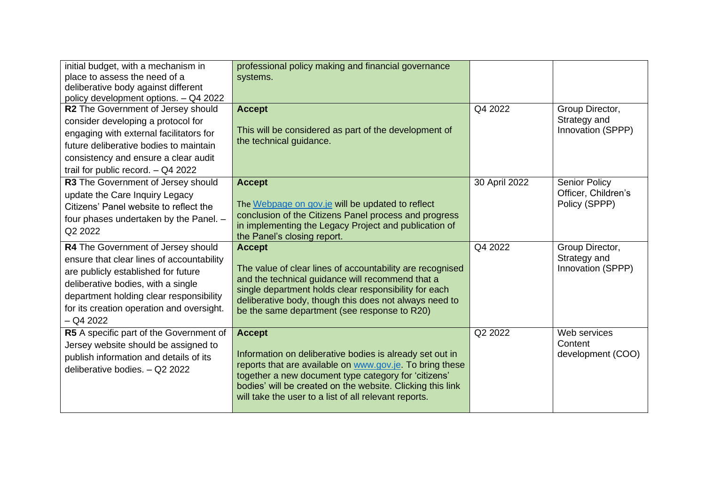| initial budget, with a mechanism in<br>place to assess the need of a<br>deliberative body against different<br>policy development options. - Q4 2022                                                                                                                | professional policy making and financial governance<br>systems.                                                                                                                                                                                                                                                      |               |                                                              |
|---------------------------------------------------------------------------------------------------------------------------------------------------------------------------------------------------------------------------------------------------------------------|----------------------------------------------------------------------------------------------------------------------------------------------------------------------------------------------------------------------------------------------------------------------------------------------------------------------|---------------|--------------------------------------------------------------|
| R2 The Government of Jersey should<br>consider developing a protocol for<br>engaging with external facilitators for<br>future deliberative bodies to maintain<br>consistency and ensure a clear audit<br>trail for public record. $-$ Q4 2022                       | <b>Accept</b><br>This will be considered as part of the development of<br>the technical guidance.                                                                                                                                                                                                                    | Q4 2022       | Group Director,<br>Strategy and<br>Innovation (SPPP)         |
| R3 The Government of Jersey should<br>update the Care Inquiry Legacy<br>Citizens' Panel website to reflect the<br>four phases undertaken by the Panel. -<br>Q2 2022                                                                                                 | <b>Accept</b><br>The Webpage on gov.je will be updated to reflect<br>conclusion of the Citizens Panel process and progress<br>in implementing the Legacy Project and publication of<br>the Panel's closing report.                                                                                                   | 30 April 2022 | <b>Senior Policy</b><br>Officer, Children's<br>Policy (SPPP) |
| R4 The Government of Jersey should<br>ensure that clear lines of accountability<br>are publicly established for future<br>deliberative bodies, with a single<br>department holding clear responsibility<br>for its creation operation and oversight.<br>$-$ Q4 2022 | <b>Accept</b><br>The value of clear lines of accountability are recognised<br>and the technical guidance will recommend that a<br>single department holds clear responsibility for each<br>deliberative body, though this does not always need to<br>be the same department (see response to R20)                    | Q4 2022       | Group Director,<br>Strategy and<br>Innovation (SPPP)         |
| R5 A specific part of the Government of<br>Jersey website should be assigned to<br>publish information and details of its<br>deliberative bodies. - Q2 2022                                                                                                         | <b>Accept</b><br>Information on deliberative bodies is already set out in<br>reports that are available on www.gov.je. To bring these<br>together a new document type category for 'citizens'<br>bodies' will be created on the website. Clicking this link<br>will take the user to a list of all relevant reports. | Q2 2022       | Web services<br>Content<br>development (COO)                 |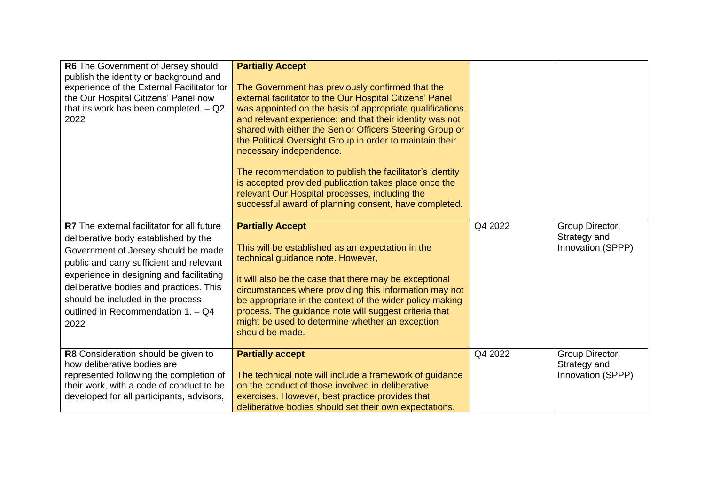| R6 The Government of Jersey should<br>publish the identity or background and<br>experience of the External Facilitator for<br>the Our Hospital Citizens' Panel now<br>that its work has been completed. $-$ Q2<br>2022                                                                                                                                 | <b>Partially Accept</b><br>The Government has previously confirmed that the<br>external facilitator to the Our Hospital Citizens' Panel<br>was appointed on the basis of appropriate qualifications<br>and relevant experience; and that their identity was not<br>shared with either the Senior Officers Steering Group or<br>the Political Oversight Group in order to maintain their<br>necessary independence.<br>The recommendation to publish the facilitator's identity<br>is accepted provided publication takes place once the<br>relevant Our Hospital processes, including the<br>successful award of planning consent, have completed. |         |                                                      |
|--------------------------------------------------------------------------------------------------------------------------------------------------------------------------------------------------------------------------------------------------------------------------------------------------------------------------------------------------------|----------------------------------------------------------------------------------------------------------------------------------------------------------------------------------------------------------------------------------------------------------------------------------------------------------------------------------------------------------------------------------------------------------------------------------------------------------------------------------------------------------------------------------------------------------------------------------------------------------------------------------------------------|---------|------------------------------------------------------|
| <b>R7</b> The external facilitator for all future<br>deliberative body established by the<br>Government of Jersey should be made<br>public and carry sufficient and relevant<br>experience in designing and facilitating<br>deliberative bodies and practices. This<br>should be included in the process<br>outlined in Recommendation 1. - Q4<br>2022 | <b>Partially Accept</b><br>This will be established as an expectation in the<br>technical guidance note. However,<br>it will also be the case that there may be exceptional<br>circumstances where providing this information may not<br>be appropriate in the context of the wider policy making<br>process. The guidance note will suggest criteria that<br>might be used to determine whether an exception<br>should be made.                                                                                                                                                                                                                   | Q4 2022 | Group Director,<br>Strategy and<br>Innovation (SPPP) |
| R8 Consideration should be given to<br>how deliberative bodies are<br>represented following the completion of<br>their work, with a code of conduct to be<br>developed for all participants, advisors,                                                                                                                                                 | <b>Partially accept</b><br>The technical note will include a framework of guidance<br>on the conduct of those involved in deliberative<br>exercises. However, best practice provides that<br>deliberative bodies should set their own expectations,                                                                                                                                                                                                                                                                                                                                                                                                | Q4 2022 | Group Director,<br>Strategy and<br>Innovation (SPPP) |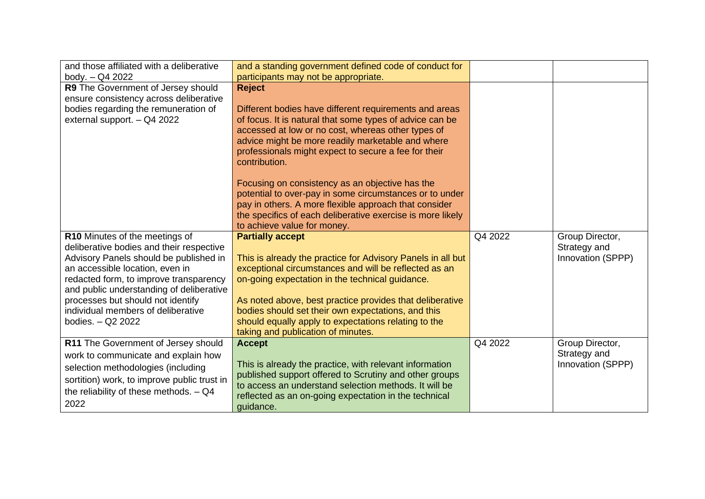| and those affiliated with a deliberative    | and a standing government defined code of conduct for                                                      |         |                   |
|---------------------------------------------|------------------------------------------------------------------------------------------------------------|---------|-------------------|
| body. - Q4 2022                             | participants may not be appropriate.                                                                       |         |                   |
| R9 The Government of Jersey should          | <b>Reject</b>                                                                                              |         |                   |
| ensure consistency across deliberative      |                                                                                                            |         |                   |
| bodies regarding the remuneration of        | Different bodies have different requirements and areas                                                     |         |                   |
| external support. - Q4 2022                 | of focus. It is natural that some types of advice can be                                                   |         |                   |
|                                             | accessed at low or no cost, whereas other types of                                                         |         |                   |
|                                             | advice might be more readily marketable and where                                                          |         |                   |
|                                             | professionals might expect to secure a fee for their                                                       |         |                   |
|                                             | contribution.                                                                                              |         |                   |
|                                             |                                                                                                            |         |                   |
|                                             | Focusing on consistency as an objective has the<br>potential to over-pay in some circumstances or to under |         |                   |
|                                             | pay in others. A more flexible approach that consider                                                      |         |                   |
|                                             | the specifics of each deliberative exercise is more likely                                                 |         |                   |
|                                             | to achieve value for money.                                                                                |         |                   |
| R10 Minutes of the meetings of              | <b>Partially accept</b>                                                                                    | Q4 2022 | Group Director,   |
| deliberative bodies and their respective    |                                                                                                            |         | Strategy and      |
| Advisory Panels should be published in      | This is already the practice for Advisory Panels in all but                                                |         | Innovation (SPPP) |
| an accessible location, even in             | exceptional circumstances and will be reflected as an                                                      |         |                   |
| redacted form, to improve transparency      | on-going expectation in the technical guidance.                                                            |         |                   |
| and public understanding of deliberative    |                                                                                                            |         |                   |
| processes but should not identify           | As noted above, best practice provides that deliberative                                                   |         |                   |
| individual members of deliberative          | bodies should set their own expectations, and this                                                         |         |                   |
| bodies. - Q2 2022                           | should equally apply to expectations relating to the                                                       |         |                   |
|                                             | taking and publication of minutes.                                                                         |         |                   |
| R11 The Government of Jersey should         | <b>Accept</b>                                                                                              | Q4 2022 | Group Director,   |
| work to communicate and explain how         |                                                                                                            |         | Strategy and      |
| selection methodologies (including          | This is already the practice, with relevant information                                                    |         | Innovation (SPPP) |
| sortition) work, to improve public trust in | published support offered to Scrutiny and other groups                                                     |         |                   |
| the reliability of these methods. $-$ Q4    | to access an understand selection methods. It will be                                                      |         |                   |
| 2022                                        | reflected as an on-going expectation in the technical<br>quidance.                                         |         |                   |
|                                             |                                                                                                            |         |                   |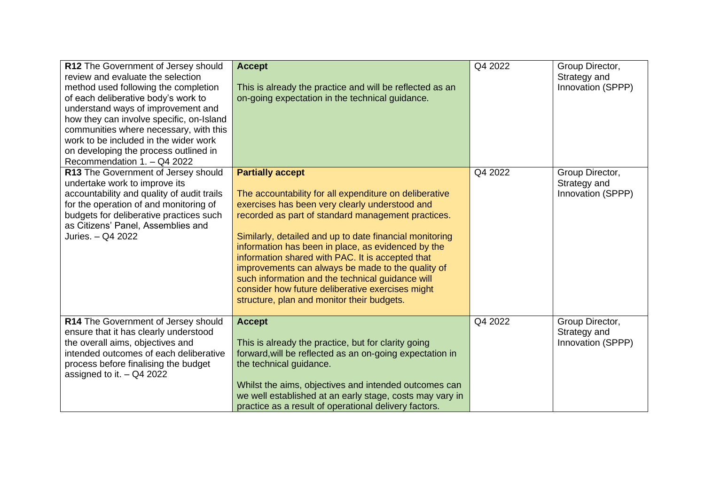| R12 The Government of Jersey should<br>review and evaluate the selection<br>method used following the completion<br>of each deliberative body's work to<br>understand ways of improvement and<br>how they can involve specific, on-Island<br>communities where necessary, with this<br>work to be included in the wider work<br>on developing the process outlined in<br>Recommendation 1. - Q4 2022 | <b>Accept</b><br>This is already the practice and will be reflected as an<br>on-going expectation in the technical guidance.                                                                                                                                                                                                                                                                                                                                                                                                                                              | Q4 2022 | Group Director,<br>Strategy and<br>Innovation (SPPP) |
|------------------------------------------------------------------------------------------------------------------------------------------------------------------------------------------------------------------------------------------------------------------------------------------------------------------------------------------------------------------------------------------------------|---------------------------------------------------------------------------------------------------------------------------------------------------------------------------------------------------------------------------------------------------------------------------------------------------------------------------------------------------------------------------------------------------------------------------------------------------------------------------------------------------------------------------------------------------------------------------|---------|------------------------------------------------------|
| R13 The Government of Jersey should<br>undertake work to improve its<br>accountability and quality of audit trails<br>for the operation of and monitoring of<br>budgets for deliberative practices such<br>as Citizens' Panel, Assemblies and<br>Juries. - Q4 2022                                                                                                                                   | <b>Partially accept</b><br>The accountability for all expenditure on deliberative<br>exercises has been very clearly understood and<br>recorded as part of standard management practices.<br>Similarly, detailed and up to date financial monitoring<br>information has been in place, as evidenced by the<br>information shared with PAC. It is accepted that<br>improvements can always be made to the quality of<br>such information and the technical guidance will<br>consider how future deliberative exercises might<br>structure, plan and monitor their budgets. | Q4 2022 | Group Director,<br>Strategy and<br>Innovation (SPPP) |
| R14 The Government of Jersey should<br>ensure that it has clearly understood<br>the overall aims, objectives and<br>intended outcomes of each deliberative<br>process before finalising the budget<br>assigned to it. $-$ Q4 2022                                                                                                                                                                    | <b>Accept</b><br>This is already the practice, but for clarity going<br>forward, will be reflected as an on-going expectation in<br>the technical guidance.<br>Whilst the aims, objectives and intended outcomes can<br>we well established at an early stage, costs may vary in<br>practice as a result of operational delivery factors.                                                                                                                                                                                                                                 | Q4 2022 | Group Director,<br>Strategy and<br>Innovation (SPPP) |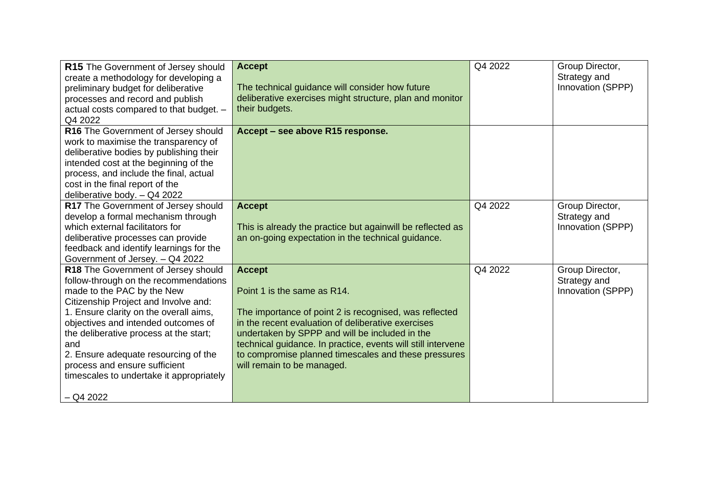| R15 The Government of Jersey should<br>create a methodology for developing a<br>preliminary budget for deliberative<br>processes and record and publish<br>actual costs compared to that budget. -<br>Q4 2022                                                                                                                                                                                                            | <b>Accept</b><br>The technical guidance will consider how future<br>deliberative exercises might structure, plan and monitor<br>their budgets.                                                                                                                                                                                                                       | Q4 2022 | Group Director,<br>Strategy and<br>Innovation (SPPP) |
|--------------------------------------------------------------------------------------------------------------------------------------------------------------------------------------------------------------------------------------------------------------------------------------------------------------------------------------------------------------------------------------------------------------------------|----------------------------------------------------------------------------------------------------------------------------------------------------------------------------------------------------------------------------------------------------------------------------------------------------------------------------------------------------------------------|---------|------------------------------------------------------|
| R16 The Government of Jersey should<br>work to maximise the transparency of<br>deliberative bodies by publishing their<br>intended cost at the beginning of the<br>process, and include the final, actual<br>cost in the final report of the<br>deliberative body. - Q4 2022                                                                                                                                             | Accept - see above R15 response.                                                                                                                                                                                                                                                                                                                                     |         |                                                      |
| R17 The Government of Jersey should<br>develop a formal mechanism through<br>which external facilitators for<br>deliberative processes can provide<br>feedback and identify learnings for the<br>Government of Jersey. - Q4 2022                                                                                                                                                                                         | <b>Accept</b><br>This is already the practice but againwill be reflected as<br>an on-going expectation in the technical guidance.                                                                                                                                                                                                                                    | Q4 2022 | Group Director,<br>Strategy and<br>Innovation (SPPP) |
| R18 The Government of Jersey should<br>follow-through on the recommendations<br>made to the PAC by the New<br>Citizenship Project and Involve and:<br>1. Ensure clarity on the overall aims,<br>objectives and intended outcomes of<br>the deliberative process at the start;<br>and<br>2. Ensure adequate resourcing of the<br>process and ensure sufficient<br>timescales to undertake it appropriately<br>$-$ Q4 2022 | <b>Accept</b><br>Point 1 is the same as R14.<br>The importance of point 2 is recognised, was reflected<br>in the recent evaluation of deliberative exercises<br>undertaken by SPPP and will be included in the<br>technical guidance. In practice, events will still intervene<br>to compromise planned timescales and these pressures<br>will remain to be managed. | Q4 2022 | Group Director,<br>Strategy and<br>Innovation (SPPP) |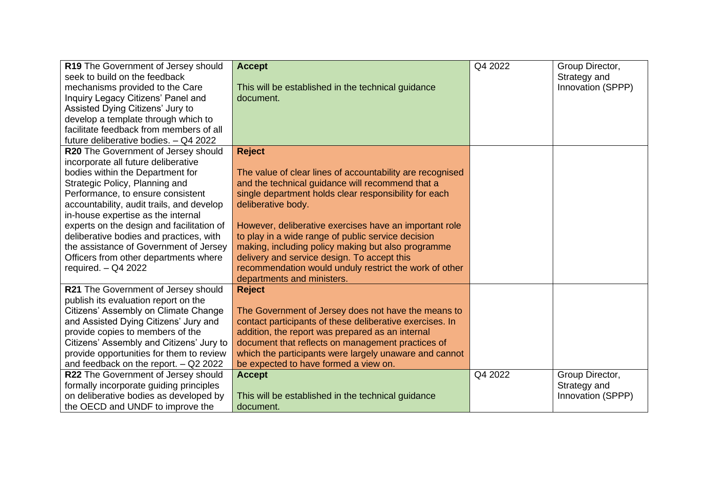| R19 The Government of Jersey should       | <b>Accept</b>                                             | Q4 2022 | Group Director,   |
|-------------------------------------------|-----------------------------------------------------------|---------|-------------------|
| seek to build on the feedback             |                                                           |         | Strategy and      |
| mechanisms provided to the Care           | This will be established in the technical guidance        |         | Innovation (SPPP) |
| Inquiry Legacy Citizens' Panel and        | document.                                                 |         |                   |
| Assisted Dying Citizens' Jury to          |                                                           |         |                   |
| develop a template through which to       |                                                           |         |                   |
| facilitate feedback from members of all   |                                                           |         |                   |
| future deliberative bodies. - Q4 2022     |                                                           |         |                   |
| R20 The Government of Jersey should       | <b>Reject</b>                                             |         |                   |
| incorporate all future deliberative       |                                                           |         |                   |
| bodies within the Department for          | The value of clear lines of accountability are recognised |         |                   |
| Strategic Policy, Planning and            | and the technical guidance will recommend that a          |         |                   |
| Performance, to ensure consistent         | single department holds clear responsibility for each     |         |                   |
| accountability, audit trails, and develop | deliberative body.                                        |         |                   |
| in-house expertise as the internal        |                                                           |         |                   |
| experts on the design and facilitation of | However, deliberative exercises have an important role    |         |                   |
| deliberative bodies and practices, with   | to play in a wide range of public service decision        |         |                   |
| the assistance of Government of Jersey    | making, including policy making but also programme        |         |                   |
| Officers from other departments where     | delivery and service design. To accept this               |         |                   |
| required. $-$ Q4 2022                     | recommendation would unduly restrict the work of other    |         |                   |
|                                           | departments and ministers.                                |         |                   |
| R21 The Government of Jersey should       | <b>Reject</b>                                             |         |                   |
| publish its evaluation report on the      |                                                           |         |                   |
| Citizens' Assembly on Climate Change      | The Government of Jersey does not have the means to       |         |                   |
| and Assisted Dying Citizens' Jury and     | contact participants of these deliberative exercises. In  |         |                   |
| provide copies to members of the          | addition, the report was prepared as an internal          |         |                   |
| Citizens' Assembly and Citizens' Jury to  | document that reflects on management practices of         |         |                   |
| provide opportunities for them to review  | which the participants were largely unaware and cannot    |         |                   |
| and feedback on the report. $-$ Q2 2022   | be expected to have formed a view on.                     |         |                   |
| R22 The Government of Jersey should       | <b>Accept</b>                                             | Q4 2022 | Group Director,   |
| formally incorporate guiding principles   |                                                           |         | Strategy and      |
| on deliberative bodies as developed by    | This will be established in the technical guidance        |         | Innovation (SPPP) |
| the OECD and UNDF to improve the          | document.                                                 |         |                   |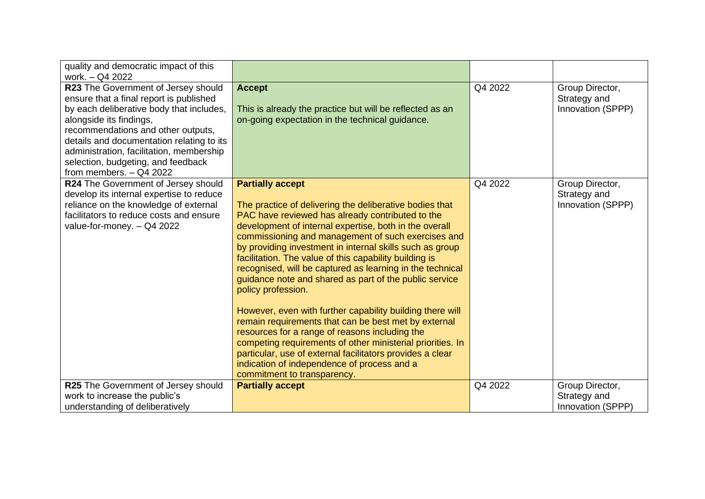| quality and democratic impact of this<br>work. - Q4 2022                                                                                                                                                                                                                                                                                                |                                                                                                                                                                                                                                                                                                                                                                                                                                                                                                                                                                                                                                                                                                                                                                                                                                                                                                           |         |                                                      |
|---------------------------------------------------------------------------------------------------------------------------------------------------------------------------------------------------------------------------------------------------------------------------------------------------------------------------------------------------------|-----------------------------------------------------------------------------------------------------------------------------------------------------------------------------------------------------------------------------------------------------------------------------------------------------------------------------------------------------------------------------------------------------------------------------------------------------------------------------------------------------------------------------------------------------------------------------------------------------------------------------------------------------------------------------------------------------------------------------------------------------------------------------------------------------------------------------------------------------------------------------------------------------------|---------|------------------------------------------------------|
| R23 The Government of Jersey should<br>ensure that a final report is published<br>by each deliberative body that includes,<br>alongside its findings,<br>recommendations and other outputs,<br>details and documentation relating to its<br>administration, facilitation, membership<br>selection, budgeting, and feedback<br>from members. $-$ Q4 2022 | <b>Accept</b><br>This is already the practice but will be reflected as an<br>on-going expectation in the technical guidance.                                                                                                                                                                                                                                                                                                                                                                                                                                                                                                                                                                                                                                                                                                                                                                              | Q4 2022 | Group Director,<br>Strategy and<br>Innovation (SPPP) |
| R24 The Government of Jersey should<br>develop its internal expertise to reduce<br>reliance on the knowledge of external<br>facilitators to reduce costs and ensure<br>value-for-money. - Q4 2022                                                                                                                                                       | <b>Partially accept</b><br>The practice of delivering the deliberative bodies that<br>PAC have reviewed has already contributed to the<br>development of internal expertise, both in the overall<br>commissioning and management of such exercises and<br>by providing investment in internal skills such as group<br>facilitation. The value of this capability building is<br>recognised, will be captured as learning in the technical<br>guidance note and shared as part of the public service<br>policy profession.<br>However, even with further capability building there will<br>remain requirements that can be best met by external<br>resources for a range of reasons including the<br>competing requirements of other ministerial priorities. In<br>particular, use of external facilitators provides a clear<br>indication of independence of process and a<br>commitment to transparency. | Q4 2022 | Group Director,<br>Strategy and<br>Innovation (SPPP) |
| R25 The Government of Jersey should<br>work to increase the public's<br>understanding of deliberatively                                                                                                                                                                                                                                                 | <b>Partially accept</b>                                                                                                                                                                                                                                                                                                                                                                                                                                                                                                                                                                                                                                                                                                                                                                                                                                                                                   | Q4 2022 | Group Director,<br>Strategy and<br>Innovation (SPPP) |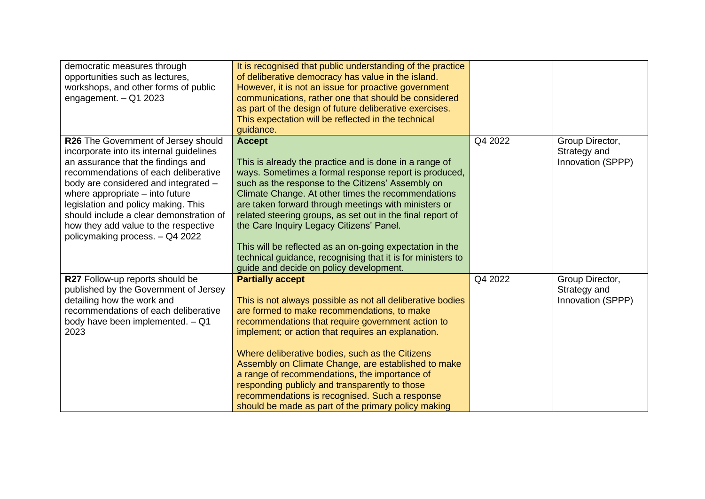| democratic measures through<br>opportunities such as lectures,<br>workshops, and other forms of public<br>engagement. $-$ Q1 2023                                                                                                                                                                                                                                                                       | It is recognised that public understanding of the practice<br>of deliberative democracy has value in the island.<br>However, it is not an issue for proactive government<br>communications, rather one that should be considered<br>as part of the design of future deliberative exercises.<br>This expectation will be reflected in the technical<br>guidance.                                                                                                                                                                                                                     |         |                                                      |
|---------------------------------------------------------------------------------------------------------------------------------------------------------------------------------------------------------------------------------------------------------------------------------------------------------------------------------------------------------------------------------------------------------|-------------------------------------------------------------------------------------------------------------------------------------------------------------------------------------------------------------------------------------------------------------------------------------------------------------------------------------------------------------------------------------------------------------------------------------------------------------------------------------------------------------------------------------------------------------------------------------|---------|------------------------------------------------------|
| R26 The Government of Jersey should<br>incorporate into its internal guidelines<br>an assurance that the findings and<br>recommendations of each deliberative<br>body are considered and integrated -<br>where appropriate $-$ into future<br>legislation and policy making. This<br>should include a clear demonstration of<br>how they add value to the respective<br>policymaking process. - Q4 2022 | <b>Accept</b><br>This is already the practice and is done in a range of<br>ways. Sometimes a formal response report is produced,<br>such as the response to the Citizens' Assembly on<br>Climate Change. At other times the recommendations<br>are taken forward through meetings with ministers or<br>related steering groups, as set out in the final report of<br>the Care Inquiry Legacy Citizens' Panel.<br>This will be reflected as an on-going expectation in the<br>technical guidance, recognising that it is for ministers to<br>guide and decide on policy development. | Q4 2022 | Group Director,<br>Strategy and<br>Innovation (SPPP) |
| R27 Follow-up reports should be<br>published by the Government of Jersey<br>detailing how the work and<br>recommendations of each deliberative<br>body have been implemented. - Q1<br>2023                                                                                                                                                                                                              | <b>Partially accept</b><br>This is not always possible as not all deliberative bodies<br>are formed to make recommendations, to make<br>recommendations that require government action to<br>implement; or action that requires an explanation.<br>Where deliberative bodies, such as the Citizens<br>Assembly on Climate Change, are established to make<br>a range of recommendations, the importance of<br>responding publicly and transparently to those<br>recommendations is recognised. Such a response<br>should be made as part of the primary policy making               | Q4 2022 | Group Director,<br>Strategy and<br>Innovation (SPPP) |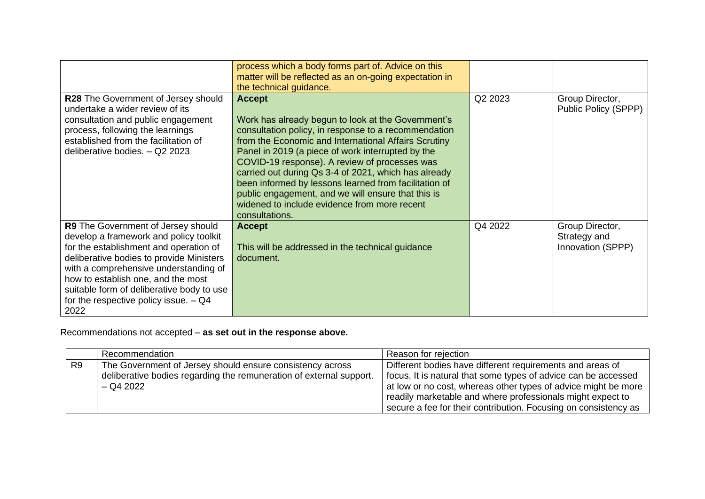|                                                                                                                                                                                                                                                                                                                                                   | process which a body forms part of. Advice on this                                                                                                                                                                                                                                                                                                                                                                                                                                                               |         |                                                      |
|---------------------------------------------------------------------------------------------------------------------------------------------------------------------------------------------------------------------------------------------------------------------------------------------------------------------------------------------------|------------------------------------------------------------------------------------------------------------------------------------------------------------------------------------------------------------------------------------------------------------------------------------------------------------------------------------------------------------------------------------------------------------------------------------------------------------------------------------------------------------------|---------|------------------------------------------------------|
|                                                                                                                                                                                                                                                                                                                                                   | matter will be reflected as an on-going expectation in                                                                                                                                                                                                                                                                                                                                                                                                                                                           |         |                                                      |
|                                                                                                                                                                                                                                                                                                                                                   | the technical guidance.                                                                                                                                                                                                                                                                                                                                                                                                                                                                                          |         |                                                      |
| <b>R28</b> The Government of Jersey should<br>undertake a wider review of its<br>consultation and public engagement<br>process, following the learnings<br>established from the facilitation of<br>deliberative bodies. - Q2 2023                                                                                                                 | <b>Accept</b><br>Work has already begun to look at the Government's<br>consultation policy, in response to a recommendation<br>from the Economic and International Affairs Scrutiny<br>Panel in 2019 (a piece of work interrupted by the<br>COVID-19 response). A review of processes was<br>carried out during Qs 3-4 of 2021, which has already<br>been informed by lessons learned from facilitation of<br>public engagement, and we will ensure that this is<br>widened to include evidence from more recent | Q2 2023 | Group Director,<br>Public Policy (SPPP)              |
|                                                                                                                                                                                                                                                                                                                                                   | consultations.                                                                                                                                                                                                                                                                                                                                                                                                                                                                                                   |         |                                                      |
| R9 The Government of Jersey should<br>develop a framework and policy toolkit<br>for the establishment and operation of<br>deliberative bodies to provide Ministers<br>with a comprehensive understanding of<br>how to establish one, and the most<br>suitable form of deliberative body to use<br>for the respective policy issue. $-$ Q4<br>2022 | <b>Accept</b><br>This will be addressed in the technical guidance<br>document.                                                                                                                                                                                                                                                                                                                                                                                                                                   | Q4 2022 | Group Director,<br>Strategy and<br>Innovation (SPPP) |

Recommendations not accepted – **as set out in the response above.**

|                | Recommendation                                                      | ' Reason for rejection                                          |
|----------------|---------------------------------------------------------------------|-----------------------------------------------------------------|
| R <sub>9</sub> | The Government of Jersey should ensure consistency across           | Different bodies have different requirements and areas of       |
|                | deliberative bodies regarding the remuneration of external support. | focus. It is natural that some types of advice can be accessed  |
|                | $-$ Q4 2022                                                         | at low or no cost, whereas other types of advice might be more  |
|                |                                                                     | readily marketable and where professionals might expect to      |
|                |                                                                     | secure a fee for their contribution. Focusing on consistency as |